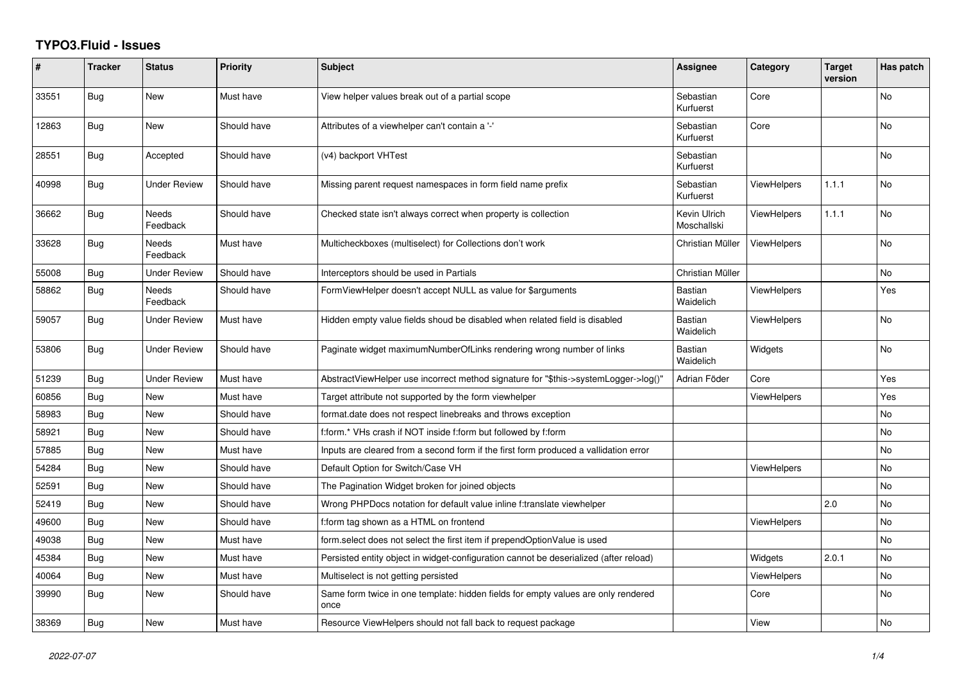## **TYPO3.Fluid - Issues**

| ∦     | <b>Tracker</b> | <b>Status</b>       | <b>Priority</b> | <b>Subject</b>                                                                            | <b>Assignee</b>             | Category           | <b>Target</b><br>version | Has patch |
|-------|----------------|---------------------|-----------------|-------------------------------------------------------------------------------------------|-----------------------------|--------------------|--------------------------|-----------|
| 33551 | Bug            | <b>New</b>          | Must have       | View helper values break out of a partial scope                                           | Sebastian<br>Kurfuerst      | Core               |                          | <b>No</b> |
| 12863 | <b>Bug</b>     | New                 | Should have     | Attributes of a viewhelper can't contain a '-'                                            | Sebastian<br>Kurfuerst      | Core               |                          | <b>No</b> |
| 28551 | <b>Bug</b>     | Accepted            | Should have     | (v4) backport VHTest                                                                      | Sebastian<br>Kurfuerst      |                    |                          | No        |
| 40998 | Bug            | Under Review        | Should have     | Missing parent request namespaces in form field name prefix                               | Sebastian<br>Kurfuerst      | <b>ViewHelpers</b> | 1.1.1                    | No        |
| 36662 | Bug            | Needs<br>Feedback   | Should have     | Checked state isn't always correct when property is collection                            | Kevin Ulrich<br>Moschallski | <b>ViewHelpers</b> | 1.1.1                    | <b>No</b> |
| 33628 | Bug            | Needs<br>Feedback   | Must have       | Multicheckboxes (multiselect) for Collections don't work                                  | Christian Müller            | <b>ViewHelpers</b> |                          | No        |
| 55008 | Bug            | <b>Under Review</b> | Should have     | Interceptors should be used in Partials                                                   | Christian Müller            |                    |                          | No.       |
| 58862 | <b>Bug</b>     | Needs<br>Feedback   | Should have     | FormViewHelper doesn't accept NULL as value for \$arguments                               | Bastian<br>Waidelich        | <b>ViewHelpers</b> |                          | Yes       |
| 59057 | Bug            | <b>Under Review</b> | Must have       | Hidden empty value fields shoud be disabled when related field is disabled                | <b>Bastian</b><br>Waidelich | <b>ViewHelpers</b> |                          | <b>No</b> |
| 53806 | Bug            | <b>Under Review</b> | Should have     | Paginate widget maximumNumberOfLinks rendering wrong number of links                      | <b>Bastian</b><br>Waidelich | Widgets            |                          | <b>No</b> |
| 51239 | <b>Bug</b>     | <b>Under Review</b> | Must have       | AbstractViewHelper use incorrect method signature for "\$this->systemLogger->log()"       | Adrian Föder                | Core               |                          | Yes       |
| 60856 | Bug            | New                 | Must have       | Target attribute not supported by the form viewhelper                                     |                             | ViewHelpers        |                          | Yes       |
| 58983 | <b>Bug</b>     | New                 | Should have     | format.date does not respect linebreaks and throws exception                              |                             |                    |                          | No        |
| 58921 | Bug            | New                 | Should have     | f:form.* VHs crash if NOT inside f:form but followed by f:form                            |                             |                    |                          | <b>No</b> |
| 57885 | Bug            | <b>New</b>          | Must have       | Inputs are cleared from a second form if the first form produced a vallidation error      |                             |                    |                          | <b>No</b> |
| 54284 | Bug            | New                 | Should have     | Default Option for Switch/Case VH                                                         |                             | <b>ViewHelpers</b> |                          | <b>No</b> |
| 52591 | Bug            | New                 | Should have     | The Pagination Widget broken for joined objects                                           |                             |                    |                          | No        |
| 52419 | Bug            | New                 | Should have     | Wrong PHPDocs notation for default value inline f:translate viewhelper                    |                             |                    | 2.0                      | <b>No</b> |
| 49600 | <b>Bug</b>     | New                 | Should have     | f:form tag shown as a HTML on frontend                                                    |                             | ViewHelpers        |                          | <b>No</b> |
| 49038 | Bug            | New                 | Must have       | form select does not select the first item if prependOptionValue is used                  |                             |                    |                          | No        |
| 45384 | <b>Bug</b>     | New                 | Must have       | Persisted entity object in widget-configuration cannot be deserialized (after reload)     |                             | Widgets            | 2.0.1                    | No.       |
| 40064 | Bug            | New                 | Must have       | Multiselect is not getting persisted                                                      |                             | <b>ViewHelpers</b> |                          | No        |
| 39990 | Bug            | <b>New</b>          | Should have     | Same form twice in one template: hidden fields for empty values are only rendered<br>once |                             | Core               |                          | <b>No</b> |
| 38369 | Bug            | New                 | Must have       | Resource ViewHelpers should not fall back to request package                              |                             | View               |                          | <b>No</b> |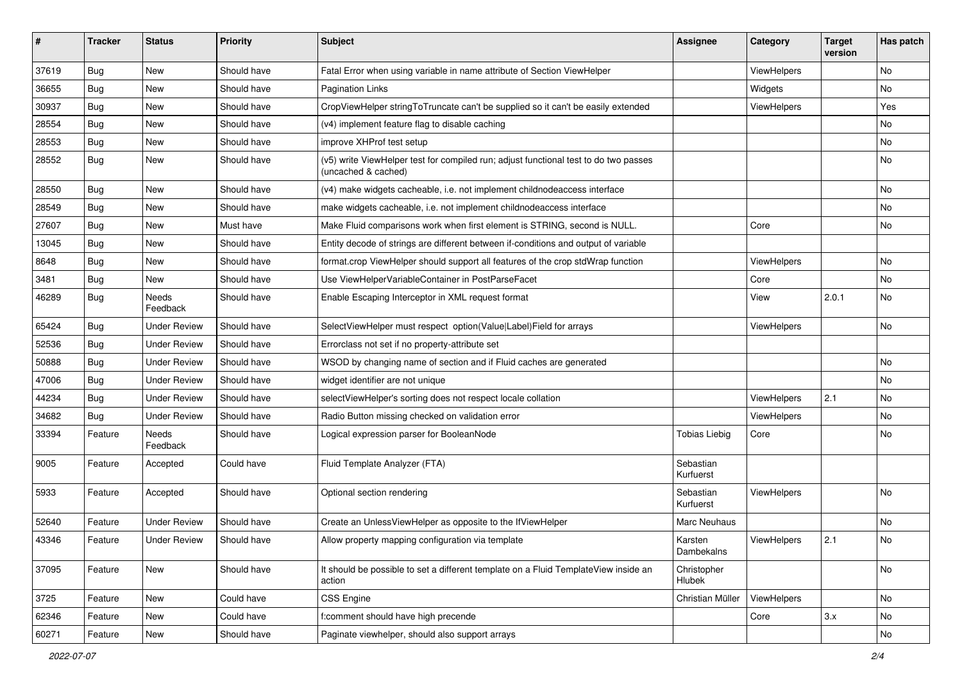| ∦     | <b>Tracker</b> | <b>Status</b>            | <b>Priority</b> | <b>Subject</b>                                                                                              | <b>Assignee</b>        | Category           | <b>Target</b><br>version | Has patch |
|-------|----------------|--------------------------|-----------------|-------------------------------------------------------------------------------------------------------------|------------------------|--------------------|--------------------------|-----------|
| 37619 | Bug            | New                      | Should have     | Fatal Error when using variable in name attribute of Section ViewHelper                                     |                        | ViewHelpers        |                          | No        |
| 36655 | Bug            | New                      | Should have     | Pagination Links                                                                                            |                        | Widgets            |                          | No        |
| 30937 | Bug            | New                      | Should have     | CropViewHelper stringToTruncate can't be supplied so it can't be easily extended                            |                        | ViewHelpers        |                          | Yes       |
| 28554 | Bug            | New                      | Should have     | (v4) implement feature flag to disable caching                                                              |                        |                    |                          | No        |
| 28553 | <b>Bug</b>     | New                      | Should have     | improve XHProf test setup                                                                                   |                        |                    |                          | No        |
| 28552 | Bug            | New                      | Should have     | (v5) write ViewHelper test for compiled run; adjust functional test to do two passes<br>(uncached & cached) |                        |                    |                          | No        |
| 28550 | Bug            | New                      | Should have     | (v4) make widgets cacheable, i.e. not implement childnodeaccess interface                                   |                        |                    |                          | No        |
| 28549 | Bug            | New                      | Should have     | make widgets cacheable, i.e. not implement childnodeaccess interface                                        |                        |                    |                          | No        |
| 27607 | Bug            | New                      | Must have       | Make Fluid comparisons work when first element is STRING, second is NULL.                                   |                        | Core               |                          | No        |
| 13045 | <b>Bug</b>     | New                      | Should have     | Entity decode of strings are different between if-conditions and output of variable                         |                        |                    |                          |           |
| 8648  | Bug            | New                      | Should have     | format.crop ViewHelper should support all features of the crop stdWrap function                             |                        | ViewHelpers        |                          | No        |
| 3481  | <b>Bug</b>     | New                      | Should have     | Use ViewHelperVariableContainer in PostParseFacet                                                           |                        | Core               |                          | No        |
| 46289 | <b>Bug</b>     | <b>Needs</b><br>Feedback | Should have     | Enable Escaping Interceptor in XML request format                                                           |                        | View               | 2.0.1                    | No        |
| 65424 | Bug            | <b>Under Review</b>      | Should have     | SelectViewHelper must respect option(Value Label)Field for arrays                                           |                        | ViewHelpers        |                          | No        |
| 52536 | Bug            | <b>Under Review</b>      | Should have     | Errorclass not set if no property-attribute set                                                             |                        |                    |                          |           |
| 50888 | Bug            | <b>Under Review</b>      | Should have     | WSOD by changing name of section and if Fluid caches are generated                                          |                        |                    |                          | No        |
| 47006 | <b>Bug</b>     | <b>Under Review</b>      | Should have     | widget identifier are not unique                                                                            |                        |                    |                          | No        |
| 44234 | Bug            | <b>Under Review</b>      | Should have     | selectViewHelper's sorting does not respect locale collation                                                |                        | ViewHelpers        | 2.1                      | No        |
| 34682 | <b>Bug</b>     | <b>Under Review</b>      | Should have     | Radio Button missing checked on validation error                                                            |                        | ViewHelpers        |                          | No        |
| 33394 | Feature        | <b>Needs</b><br>Feedback | Should have     | Logical expression parser for BooleanNode                                                                   | <b>Tobias Liebig</b>   | Core               |                          | No        |
| 9005  | Feature        | Accepted                 | Could have      | Fluid Template Analyzer (FTA)                                                                               | Sebastian<br>Kurfuerst |                    |                          |           |
| 5933  | Feature        | Accepted                 | Should have     | Optional section rendering                                                                                  | Sebastian<br>Kurfuerst | <b>ViewHelpers</b> |                          | No        |
| 52640 | Feature        | <b>Under Review</b>      | Should have     | Create an UnlessViewHelper as opposite to the IfViewHelper                                                  | Marc Neuhaus           |                    |                          | No        |
| 43346 | Feature        | <b>Under Review</b>      | Should have     | Allow property mapping configuration via template                                                           | Karsten<br>Dambekalns  | ViewHelpers        | 2.1                      | No        |
| 37095 | Feature        | New                      | Should have     | It should be possible to set a different template on a Fluid TemplateView inside an<br>action               | Christopher<br>Hlubek  |                    |                          | No        |
| 3725  | Feature        | New                      | Could have      | CSS Engine                                                                                                  | Christian Müller       | ViewHelpers        |                          | No        |
| 62346 | Feature        | New                      | Could have      | f:comment should have high precende                                                                         |                        | Core               | 3.x                      | No        |
| 60271 | Feature        | New                      | Should have     | Paginate viewhelper, should also support arrays                                                             |                        |                    |                          | No        |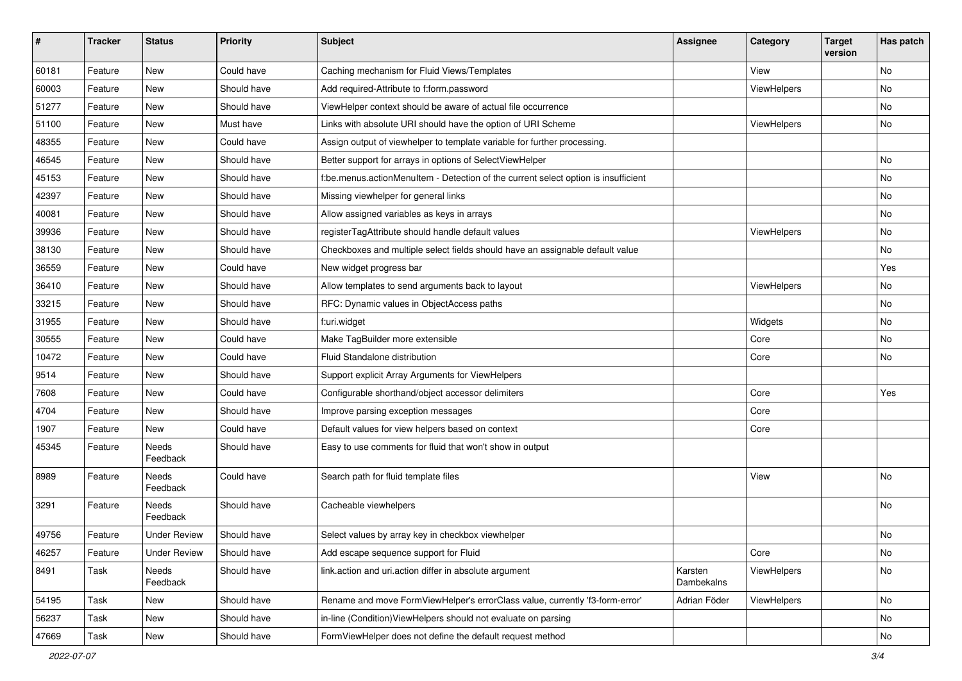| $\pmb{\#}$ | <b>Tracker</b> | <b>Status</b>            | <b>Priority</b> | Subject                                                                            | <b>Assignee</b>       | Category    | <b>Target</b><br>version | Has patch |
|------------|----------------|--------------------------|-----------------|------------------------------------------------------------------------------------|-----------------------|-------------|--------------------------|-----------|
| 60181      | Feature        | <b>New</b>               | Could have      | Caching mechanism for Fluid Views/Templates                                        |                       | View        |                          | <b>No</b> |
| 60003      | Feature        | New                      | Should have     | Add required-Attribute to f:form.password                                          |                       | ViewHelpers |                          | No        |
| 51277      | Feature        | New                      | Should have     | ViewHelper context should be aware of actual file occurrence                       |                       |             |                          | No        |
| 51100      | Feature        | New                      | Must have       | Links with absolute URI should have the option of URI Scheme                       |                       | ViewHelpers |                          | No        |
| 48355      | Feature        | New                      | Could have      | Assign output of viewhelper to template variable for further processing.           |                       |             |                          |           |
| 46545      | Feature        | <b>New</b>               | Should have     | Better support for arrays in options of SelectViewHelper                           |                       |             |                          | No        |
| 45153      | Feature        | New                      | Should have     | f:be.menus.actionMenuItem - Detection of the current select option is insufficient |                       |             |                          | No        |
| 42397      | Feature        | New                      | Should have     | Missing viewhelper for general links                                               |                       |             |                          | No        |
| 40081      | Feature        | <b>New</b>               | Should have     | Allow assigned variables as keys in arrays                                         |                       |             |                          | No        |
| 39936      | Feature        | New                      | Should have     | registerTagAttribute should handle default values                                  |                       | ViewHelpers |                          | No        |
| 38130      | Feature        | New                      | Should have     | Checkboxes and multiple select fields should have an assignable default value      |                       |             |                          | No        |
| 36559      | Feature        | New                      | Could have      | New widget progress bar                                                            |                       |             |                          | Yes       |
| 36410      | Feature        | <b>New</b>               | Should have     | Allow templates to send arguments back to layout                                   |                       | ViewHelpers |                          | No        |
| 33215      | Feature        | <b>New</b>               | Should have     | RFC: Dynamic values in ObjectAccess paths                                          |                       |             |                          | No        |
| 31955      | Feature        | New                      | Should have     | f:uri.widget                                                                       |                       | Widgets     |                          | No        |
| 30555      | Feature        | New                      | Could have      | Make TagBuilder more extensible                                                    |                       | Core        |                          | No        |
| 10472      | Feature        | New                      | Could have      | Fluid Standalone distribution                                                      |                       | Core        |                          | No        |
| 9514       | Feature        | New                      | Should have     | Support explicit Array Arguments for ViewHelpers                                   |                       |             |                          |           |
| 7608       | Feature        | <b>New</b>               | Could have      | Configurable shorthand/object accessor delimiters                                  |                       | Core        |                          | Yes       |
| 4704       | Feature        | New                      | Should have     | Improve parsing exception messages                                                 |                       | Core        |                          |           |
| 1907       | Feature        | New                      | Could have      | Default values for view helpers based on context                                   |                       | Core        |                          |           |
| 45345      | Feature        | <b>Needs</b><br>Feedback | Should have     | Easy to use comments for fluid that won't show in output                           |                       |             |                          |           |
| 8989       | Feature        | <b>Needs</b><br>Feedback | Could have      | Search path for fluid template files                                               |                       | View        |                          | <b>No</b> |
| 3291       | Feature        | Needs<br>Feedback        | Should have     | Cacheable viewhelpers                                                              |                       |             |                          | <b>No</b> |
| 49756      | Feature        | <b>Under Review</b>      | Should have     | Select values by array key in checkbox viewhelper                                  |                       |             |                          | No        |
| 46257      | Feature        | <b>Under Review</b>      | Should have     | Add escape sequence support for Fluid                                              |                       | Core        |                          | No        |
| 8491       | Task           | Needs<br>Feedback        | Should have     | link.action and uri.action differ in absolute argument                             | Karsten<br>Dambekalns | ViewHelpers |                          | No        |
| 54195      | Task           | New                      | Should have     | Rename and move FormViewHelper's errorClass value, currently 'f3-form-error'       | Adrian Föder          | ViewHelpers |                          | No        |
| 56237      | Task           | New                      | Should have     | in-line (Condition) ViewHelpers should not evaluate on parsing                     |                       |             |                          | No        |
| 47669      | Task           | New                      | Should have     | FormViewHelper does not define the default request method                          |                       |             |                          | No        |